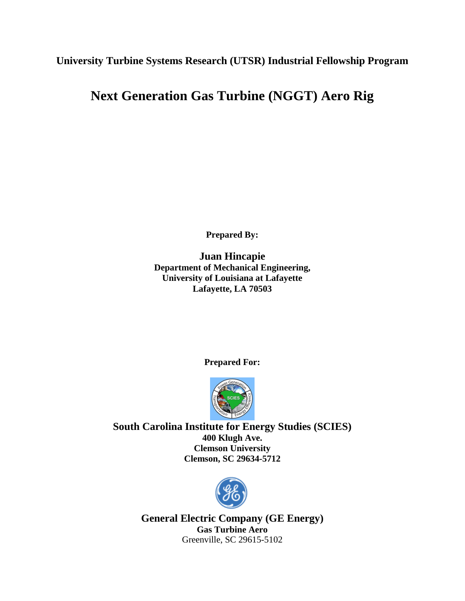**University Turbine Systems Research (UTSR) Industrial Fellowship Program**

# **Next Generation Gas Turbine (NGGT) Aero Rig**

**Prepared By:**

**Juan Hincapie Department of Mechanical Engineering, University of Louisiana at Lafayette Lafayette, LA 70503**

**Prepared For:**



**South Carolina Institute for Energy Studies (SCIES) 400 Klugh Ave. Clemson University Clemson, SC 29634-5712**



**General Electric Company (GE Energy) Gas Turbine Aero** Greenville, SC 29615-5102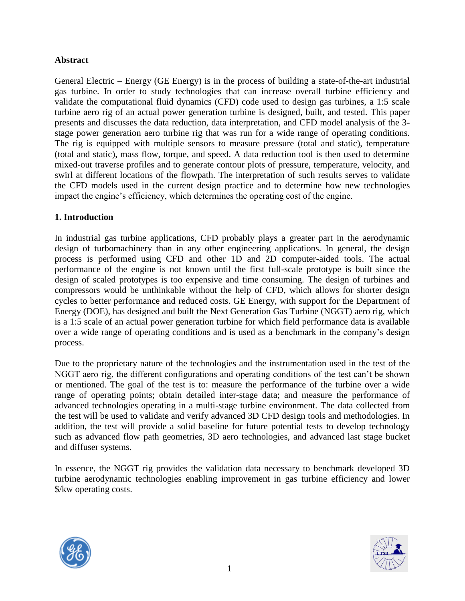### **Abstract**

General Electric – Energy (GE Energy) is in the process of building a state-of-the-art industrial gas turbine. In order to study technologies that can increase overall turbine efficiency and validate the computational fluid dynamics (CFD) code used to design gas turbines, a 1:5 scale turbine aero rig of an actual power generation turbine is designed, built, and tested. This paper presents and discusses the data reduction, data interpretation, and CFD model analysis of the 3 stage power generation aero turbine rig that was run for a wide range of operating conditions. The rig is equipped with multiple sensors to measure pressure (total and static), temperature (total and static), mass flow, torque, and speed. A data reduction tool is then used to determine mixed-out traverse profiles and to generate contour plots of pressure, temperature, velocity, and swirl at different locations of the flowpath. The interpretation of such results serves to validate the CFD models used in the current design practice and to determine how new technologies impact the engine's efficiency, which determines the operating cost of the engine.

#### **1. Introduction**

In industrial gas turbine applications, CFD probably plays a greater part in the aerodynamic design of turbomachinery than in any other engineering applications. In general, the design process is performed using CFD and other 1D and 2D computer-aided tools. The actual performance of the engine is not known until the first full-scale prototype is built since the design of scaled prototypes is too expensive and time consuming. The design of turbines and compressors would be unthinkable without the help of CFD, which allows for shorter design cycles to better performance and reduced costs. GE Energy, with support for the Department of Energy (DOE), has designed and built the Next Generation Gas Turbine (NGGT) aero rig, which is a 1:5 scale of an actual power generation turbine for which field performance data is available over a wide range of operating conditions and is used as a benchmark in the company's design process.

Due to the proprietary nature of the technologies and the instrumentation used in the test of the NGGT aero rig, the different configurations and operating conditions of the test can't be shown or mentioned. The goal of the test is to: measure the performance of the turbine over a wide range of operating points; obtain detailed inter-stage data; and measure the performance of advanced technologies operating in a multi-stage turbine environment. The data collected from the test will be used to validate and verify advanced 3D CFD design tools and methodologies. In addition, the test will provide a solid baseline for future potential tests to develop technology such as advanced flow path geometries, 3D aero technologies, and advanced last stage bucket and diffuser systems.

In essence, the NGGT rig provides the validation data necessary to benchmark developed 3D turbine aerodynamic technologies enabling improvement in gas turbine efficiency and lower \$/kw operating costs.



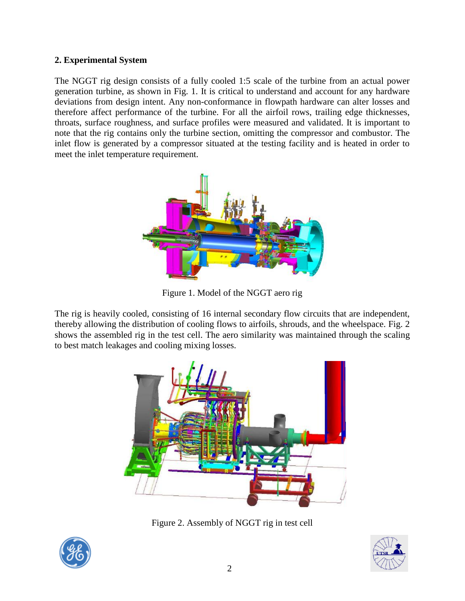## **2. Experimental System**

The NGGT rig design consists of a fully cooled 1:5 scale of the turbine from an actual power generation turbine, as shown in Fig. 1. It is critical to understand and account for any hardware deviations from design intent. Any non-conformance in flowpath hardware can alter losses and therefore affect performance of the turbine. For all the airfoil rows, trailing edge thicknesses, throats, surface roughness, and surface profiles were measured and validated. It is important to note that the rig contains only the turbine section, omitting the compressor and combustor. The inlet flow is generated by a compressor situated at the testing facility and is heated in order to meet the inlet temperature requirement.



Figure 1. Model of the NGGT aero rig

The rig is heavily cooled, consisting of 16 internal secondary flow circuits that are independent, thereby allowing the distribution of cooling flows to airfoils, shrouds, and the wheelspace. Fig. 2 shows the assembled rig in the test cell. The aero similarity was maintained through the scaling to best match leakages and cooling mixing losses.



Figure 2. Assembly of NGGT rig in test cell



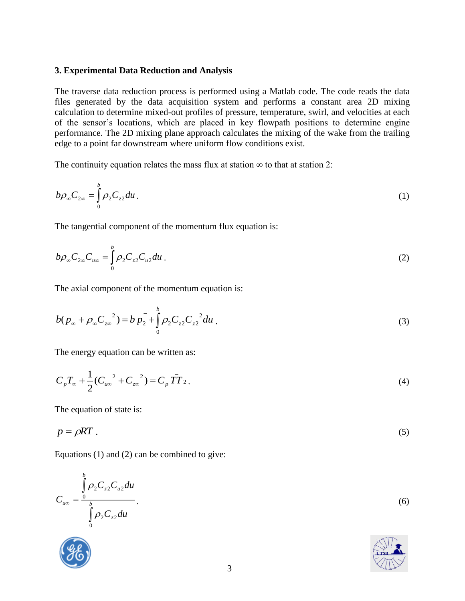#### **3. Experimental Data Reduction and Analysis**

The traverse data reduction process is performed using a Matlab code. The code reads the data files generated by the data acquisition system and performs a constant area 2D mixing calculation to determine mixed-out profiles of pressure, temperature, swirl, and velocities at each of the sensor's locations, which are placed in key flowpath positions to determine engine performance. The 2D mixing plane approach calculates the mixing of the wake from the trailing edge to a point far downstream where uniform flow conditions exist.

The continuity equation relates the mass flux at station  $\infty$  to that at station 2:

$$
b\rho_{\infty}C_{2\infty} = \int_{0}^{b} \rho_{2}C_{z2}du.
$$
 (1)

The tangential component of the momentum flux equation is:

$$
b\rho_{\infty}C_{2\infty}C_{u\infty} = \int_{0}^{b} \rho_{2}C_{z2}C_{u2}du.
$$
 (2)

The axial component of the momentum equation is:

$$
b(p_{\infty} + \rho_{\infty} C_{z\infty}^{2}) = b p_{2}^{-} + \int_{0}^{b} \rho_{2} C_{z2} C_{z2}^{2} du
$$
 (3)

The energy equation can be written as:

$$
C_p T_{\infty} + \frac{1}{2} (C_{u\infty}^{2} + C_{z\infty}^{2}) = C_p \overline{T} T_2.
$$
 (4)

The equation of state is:

$$
p = \rho RT \tag{5}
$$

Equations (1) and (2) can be combined to give:

$$
C_{u\infty} = \frac{\int_{0}^{b} \rho_2 C_{z2} C_{u2} du}{\int_{0}^{b} \rho_2 C_{z2} du}
$$
 (6)

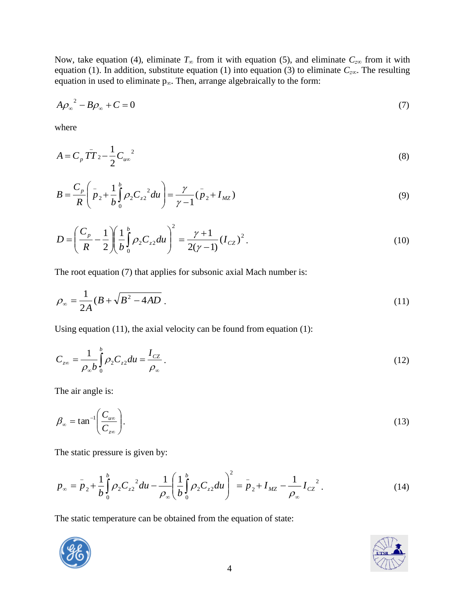Now, take equation (4), eliminate  $T_\infty$  from it with equation (5), and eliminate  $C_{z\infty}$  from it with equation (1). In addition, substitute equation (1) into equation (3) to eliminate *Cz∞*. The resulting equation in used to eliminate  $p_{\infty}$ . Then, arrange algebraically to the form:

$$
A\rho_{\infty}^{2} - B\rho_{\infty} + C = 0 \tag{7}
$$

where

$$
A = C_p \overline{T} \overline{T} \, z - \frac{1}{2} C_{u\infty}^2 \tag{8}
$$

$$
B = \frac{C_p}{R} \left( \bar{p}_2 + \frac{1}{b} \int_0^b \rho_2 C_{z2}^2 du \right) = \frac{\gamma}{\gamma - 1} (\bar{p}_2 + I_{MZ})
$$
(9)

$$
D = \left(\frac{C_p}{R} - \frac{1}{2}\right) \left(\frac{1}{b}\int_0^b \rho_2 C_{z2} du\right)^2 = \frac{\gamma + 1}{2(\gamma - 1)} (I_{cz})^2.
$$
 (10)

The root equation (7) that applies for subsonic axial Mach number is:

$$
\rho_{\infty} = \frac{1}{2A} (B + \sqrt{B^2 - 4AD}).
$$
\n(11)

Using equation  $(11)$ , the axial velocity can be found from equation  $(1)$ :

$$
C_{z\infty} = \frac{1}{\rho_{\infty} b} \int_{0}^{b} \rho_2 C_{z2} du = \frac{I_{CZ}}{\rho_{\infty}}.
$$
\n(12)

The air angle is:

$$
\beta_{\infty} = \tan^{-1} \left( \frac{C_{\mu\infty}}{C_{z\infty}} \right). \tag{13}
$$

The static pressure is given by:

$$
p_{\infty} = p_2 + \frac{1}{b} \int_0^b \rho_2 C_{z2}^2 du - \frac{1}{\rho_{\infty}} \left( \frac{1}{b} \int_0^b \rho_2 C_{z2} du \right)^2 = p_2 + I_{MZ} - \frac{1}{\rho_{\infty}} I_{CZ}^2.
$$
 (14)

The static temperature can be obtained from the equation of state:



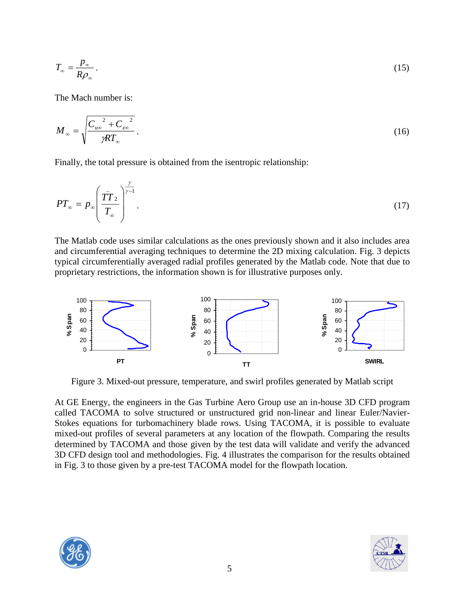$$
T_{\infty} = \frac{p_{\infty}}{R\rho_{\infty}}.
$$
\n(15)

The Mach number is:

$$
M_{\infty} = \sqrt{\frac{{C_{u\infty}}^2 + {C_{z\infty}}^2}{\gamma RT_{\infty}}}.
$$
 (16)

Finally, the total pressure is obtained from the isentropic relationship:

$$
PT_{\infty} = p_{\infty} \left( \frac{\overline{TT}_{2}}{T_{\infty}} \right)^{\frac{\gamma}{\gamma - 1}}.
$$
 (17)

The Matlab code uses similar calculations as the ones previously shown and it also includes area and circumferential averaging techniques to determine the 2D mixing calculation. Fig. 3 depicts typical circumferentially averaged radial profiles generated by the Matlab code. Note that due to proprietary restrictions, the information shown is for illustrative purposes only.



Figure 3. Mixed-out pressure, temperature, and swirl profiles generated by Matlab script

At GE Energy, the engineers in the Gas Turbine Aero Group use an in-house 3D CFD program called TACOMA to solve structured or unstructured grid non-linear and linear Euler/Navier-Stokes equations for turbomachinery blade rows. Using TACOMA, it is possible to evaluate mixed-out profiles of several parameters at any location of the flowpath. Comparing the results determined by TACOMA and those given by the test data will validate and verify the advanced 3D CFD design tool and methodologies. Fig. 4 illustrates the comparison for the results obtained in Fig. 3 to those given by a pre-test TACOMA model for the flowpath location.



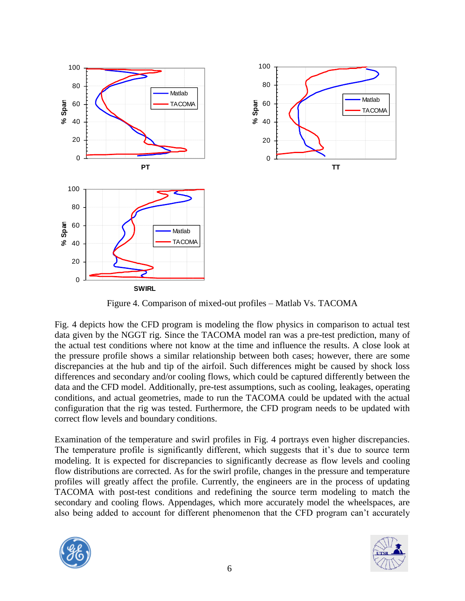

Figure 4. Comparison of mixed-out profiles – Matlab Vs. TACOMA

Fig. 4 depicts how the CFD program is modeling the flow physics in comparison to actual test data given by the NGGT rig. Since the TACOMA model ran was a pre-test prediction, many of the actual test conditions where not know at the time and influence the results. A close look at the pressure profile shows a similar relationship between both cases; however, there are some discrepancies at the hub and tip of the airfoil. Such differences might be caused by shock loss differences and secondary and/or cooling flows, which could be captured differently between the data and the CFD model. Additionally, pre-test assumptions, such as cooling, leakages, operating conditions, and actual geometries, made to run the TACOMA could be updated with the actual configuration that the rig was tested. Furthermore, the CFD program needs to be updated with correct flow levels and boundary conditions.

Examination of the temperature and swirl profiles in Fig. 4 portrays even higher discrepancies. The temperature profile is significantly different, which suggests that it's due to source term modeling. It is expected for discrepancies to significantly decrease as flow levels and cooling flow distributions are corrected. As for the swirl profile, changes in the pressure and temperature profiles will greatly affect the profile. Currently, the engineers are in the process of updating TACOMA with post-test conditions and redefining the source term modeling to match the secondary and cooling flows. Appendages, which more accurately model the wheelspaces, are also being added to account for different phenomenon that the CFD program can't accurately



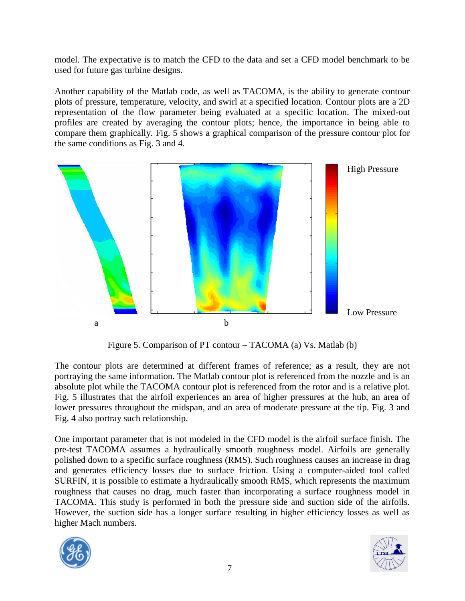model. The expectative is to match the CFD to the data and set a CFD model benchmark to be used for future gas turbine designs.

Another capability of the Matlab code, as well as TACOMA, is the ability to generate contour plots of pressure, temperature, velocity, and swirl at a specified location. Contour plots are a 2D representation of the flow parameter being evaluated at a specific location. The mixed-out profiles are created by averaging the contour plots; hence, the importance in being able to compare them graphically. Fig. 5 shows a graphical comparison of the pressure contour plot for the same conditions as Fig. 3 and 4.



Figure 5. Comparison of PT contour – TACOMA (a) Vs. Matlab (b)

The contour plots are determined at different frames of reference; as a result, they are not portraying the same information. The Matlab contour plot is referenced from the nozzle and is an absolute plot while the TACOMA contour plot is referenced from the rotor and is a relative plot. Fig. 5 illustrates that the airfoil experiences an area of higher pressures at the hub, an area of lower pressures throughout the midspan, and an area of moderate pressure at the tip. Fig. 3 and Fig. 4 also portray such relationship.

One important parameter that is not modeled in the CFD model is the airfoil surface finish. The pre-test TACOMA assumes a hydraulically smooth roughness model. Airfoils are generally polished down to a specific surface roughness (RMS). Such roughness causes an increase in drag and generates efficiency losses due to surface friction. Using a computer-aided tool called SURFIN, it is possible to estimate a hydraulically smooth RMS, which represents the maximum roughness that causes no drag, much faster than incorporating a surface roughness model in TACOMA. This study is performed in both the pressure side and suction side of the airfoils. However, the suction side has a longer surface resulting in higher efficiency losses as well as higher Mach numbers.



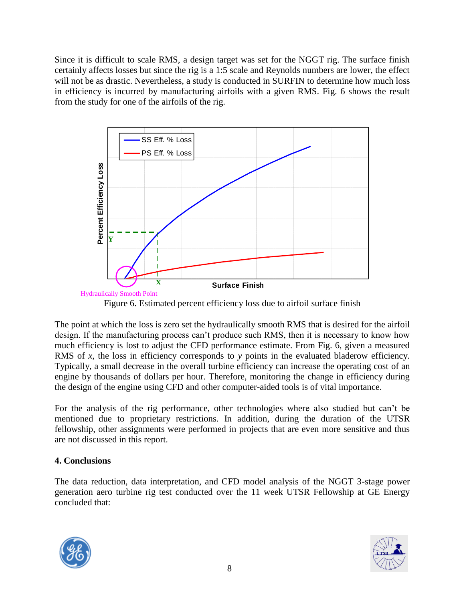Since it is difficult to scale RMS, a design target was set for the NGGT rig. The surface finish certainly affects losses but since the rig is a 1:5 scale and Reynolds numbers are lower, the effect will not be as drastic. Nevertheless, a study is conducted in SURFIN to determine how much loss in efficiency is incurred by manufacturing airfoils with a given RMS. Fig. 6 shows the result from the study for one of the airfoils of the rig.



Figure 6. Estimated percent efficiency loss due to airfoil surface finish

The point at which the loss is zero set the hydraulically smooth RMS that is desired for the airfoil design. If the manufacturing process can't produce such RMS, then it is necessary to know how much efficiency is lost to adjust the CFD performance estimate. From Fig. 6, given a measured RMS of *x*, the loss in efficiency corresponds to *y* points in the evaluated bladerow efficiency. Typically, a small decrease in the overall turbine efficiency can increase the operating cost of an engine by thousands of dollars per hour. Therefore, monitoring the change in efficiency during the design of the engine using CFD and other computer-aided tools is of vital importance.

For the analysis of the rig performance, other technologies where also studied but can't be mentioned due to proprietary restrictions. In addition, during the duration of the UTSR fellowship, other assignments were performed in projects that are even more sensitive and thus are not discussed in this report.

# **4. Conclusions**

The data reduction, data interpretation, and CFD model analysis of the NGGT 3-stage power generation aero turbine rig test conducted over the 11 week UTSR Fellowship at GE Energy concluded that:



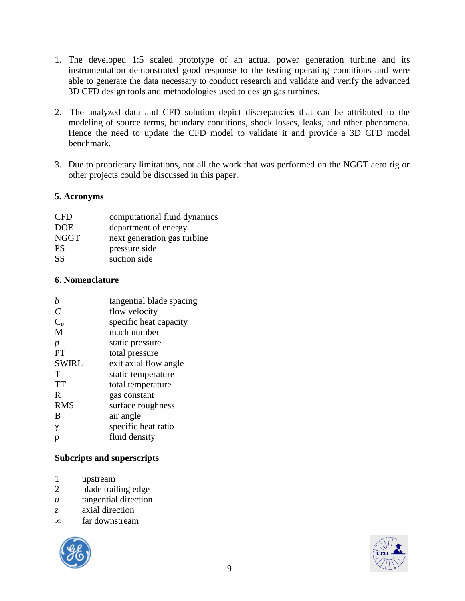- 1. The developed 1:5 scaled prototype of an actual power generation turbine and its instrumentation demonstrated good response to the testing operating conditions and were able to generate the data necessary to conduct research and validate and verify the advanced 3D CFD design tools and methodologies used to design gas turbines.
- 2. The analyzed data and CFD solution depict discrepancies that can be attributed to the modeling of source terms, boundary conditions, shock losses, leaks, and other phenomena. Hence the need to update the CFD model to validate it and provide a 3D CFD model benchmark.
- 3. Due to proprietary limitations, not all the work that was performed on the NGGT aero rig or other projects could be discussed in this paper.

#### **5. Acronyms**

| <b>CFD</b>  | computational fluid dynamics |
|-------------|------------------------------|
| <b>DOE</b>  | department of energy         |
| <b>NGGT</b> | next generation gas turbine  |
| <b>PS</b>   | pressure side                |
| <b>SS</b>   | suction side                 |
|             |                              |

#### **6. Nomenclature**

|              | tangential blade spacing |
|--------------|--------------------------|
| C            | flow velocity            |
| $C_p$        | specific heat capacity   |
| M            | mach number              |
| p            | static pressure          |
| <b>PT</b>    | total pressure           |
| <b>SWIRL</b> | exit axial flow angle    |
| Т            | static temperature       |
| <b>TT</b>    | total temperature        |
| R            | gas constant             |
| <b>RMS</b>   | surface roughness        |
| B            | air angle                |
| γ            | specific heat ratio      |
|              | fluid density            |
|              |                          |

## **Subcripts and superscripts**

- 1 upstream
- 2 blade trailing edge
- *u* tangential direction
- *z* axial direction
- ∞ far downstream